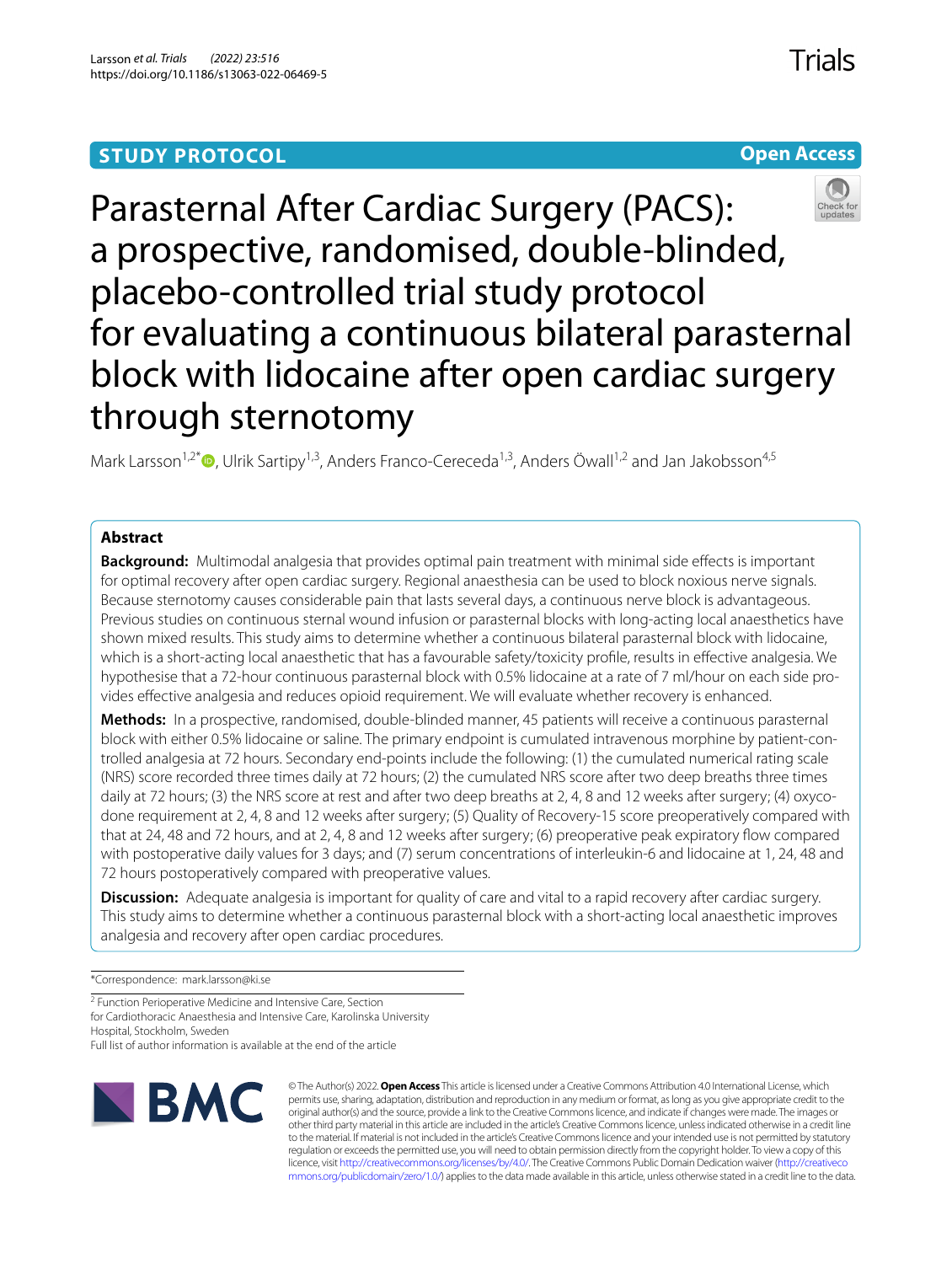# **STUDY PROTOCOL**

**Open Access**



Mark Larsson<sup>1,2[\\*](http://orcid.org/0000-0002-0361-1013)</sup>  $\bullet$ , Ulrik Sartipy<sup>1,3</sup>, Anders Franco-Cereceda<sup>1,3</sup>, Anders Öwall<sup>1,2</sup> and Jan Jakobsson<sup>4,5</sup>

### **Abstract**

**Background:** Multimodal analgesia that provides optimal pain treatment with minimal side efects is important for optimal recovery after open cardiac surgery. Regional anaesthesia can be used to block noxious nerve signals. Because sternotomy causes considerable pain that lasts several days, a continuous nerve block is advantageous. Previous studies on continuous sternal wound infusion or parasternal blocks with long-acting local anaesthetics have shown mixed results. This study aims to determine whether a continuous bilateral parasternal block with lidocaine, which is a short-acting local anaesthetic that has a favourable safety/toxicity profle, results in efective analgesia. We hypothesise that a 72-hour continuous parasternal block with 0.5% lidocaine at a rate of 7 ml/hour on each side provides efective analgesia and reduces opioid requirement. We will evaluate whether recovery is enhanced.

**Methods:** In a prospective, randomised, double-blinded manner, 45 patients will receive a continuous parasternal block with either 0.5% lidocaine or saline. The primary endpoint is cumulated intravenous morphine by patient-controlled analgesia at 72 hours. Secondary end-points include the following: (1) the cumulated numerical rating scale (NRS) score recorded three times daily at 72 hours; (2) the cumulated NRS score after two deep breaths three times daily at 72 hours; (3) the NRS score at rest and after two deep breaths at 2, 4, 8 and 12 weeks after surgery; (4) oxycodone requirement at 2, 4, 8 and 12 weeks after surgery; (5) Quality of Recovery-15 score preoperatively compared with that at 24, 48 and 72 hours, and at 2, 4, 8 and 12 weeks after surgery; (6) preoperative peak expiratory fow compared with postoperative daily values for 3 days; and (7) serum concentrations of interleukin-6 and lidocaine at 1, 24, 48 and 72 hours postoperatively compared with preoperative values.

**Discussion:** Adequate analgesia is important for quality of care and vital to a rapid recovery after cardiac surgery. This study aims to determine whether a continuous parasternal block with a short-acting local anaesthetic improves analgesia and recovery after open cardiac procedures.

\*Correspondence: mark.larsson@ki.se

<sup>2</sup> Function Perioperative Medicine and Intensive Care, Section for Cardiothoracic Anaesthesia and Intensive Care, Karolinska University Hospital, Stockholm, Sweden Full list of author information is available at the end of the article



© The Author(s) 2022. **Open Access** This article is licensed under a Creative Commons Attribution 4.0 International License, which permits use, sharing, adaptation, distribution and reproduction in any medium or format, as long as you give appropriate credit to the original author(s) and the source, provide a link to the Creative Commons licence, and indicate if changes were made. The images or other third party material in this article are included in the article's Creative Commons licence, unless indicated otherwise in a credit line to the material. If material is not included in the article's Creative Commons licence and your intended use is not permitted by statutory regulation or exceeds the permitted use, you will need to obtain permission directly from the copyright holder. To view a copy of this licence, visit [http://creativecommons.org/licenses/by/4.0/.](http://creativecommons.org/licenses/by/4.0/) The Creative Commons Public Domain Dedication waiver ([http://creativeco](http://creativecommons.org/publicdomain/zero/1.0/) [mmons.org/publicdomain/zero/1.0/](http://creativecommons.org/publicdomain/zero/1.0/)) applies to the data made available in this article, unless otherwise stated in a credit line to the data.

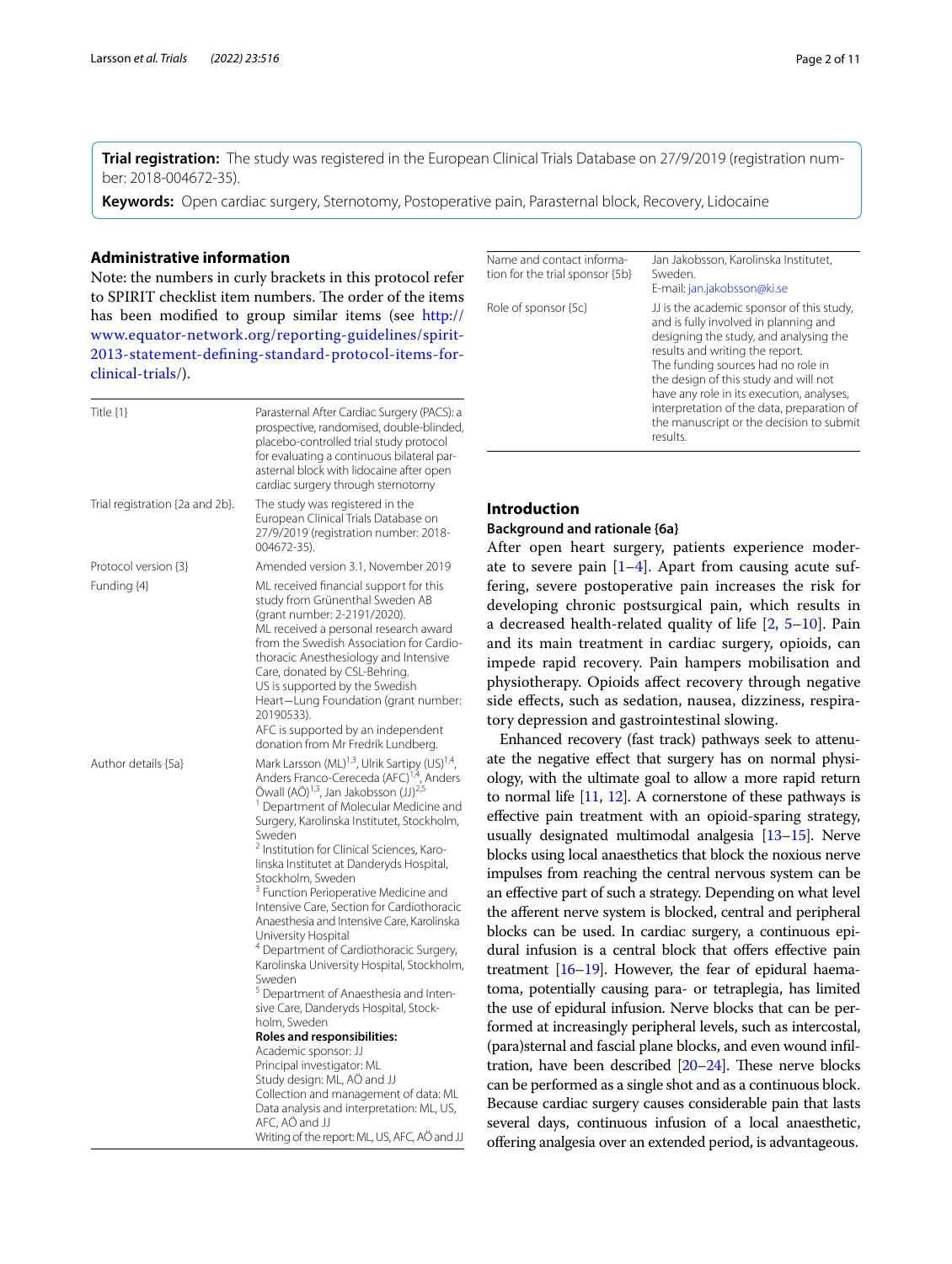**Trial registration:** The study was registered in the European Clinical Trials Database on 27/9/2019 (registration number: 2018-004672-35).

**Keywords:** Open cardiac surgery, Sternotomy, Postoperative pain, Parasternal block, Recovery, Lidocaine

### **Administrative information**

Note: the numbers in curly brackets in this protocol refer to SPIRIT checklist item numbers. The order of the items has been modifed to group similar items (see [http://](http://www.equator-network.org/reporting-guidelines/spirit-2013-statement-defining-standard-protocol-items-for-clinical-trials/) [www.equator-network.org/reporting-guidelines/spirit-](http://www.equator-network.org/reporting-guidelines/spirit-2013-statement-defining-standard-protocol-items-for-clinical-trials/)[2013-statement-defning-standard-protocol-items-for](http://www.equator-network.org/reporting-guidelines/spirit-2013-statement-defining-standard-protocol-items-for-clinical-trials/)[clinical-trials/\)](http://www.equator-network.org/reporting-guidelines/spirit-2013-statement-defining-standard-protocol-items-for-clinical-trials/).

| Title $\{1\}$                   | Parasternal After Cardiac Surgery (PACS): a<br>prospective, randomised, double-blinded,<br>placebo-controlled trial study protocol<br>for evaluating a continuous bilateral par-<br>asternal block with lidocaine after open<br>cardiac surgery through sternotomy                                                                                                                                                                                                                                                                                                                                                                                                                                                                                                                                                                                                                                                                                                                                                                                                                                                     |
|---------------------------------|------------------------------------------------------------------------------------------------------------------------------------------------------------------------------------------------------------------------------------------------------------------------------------------------------------------------------------------------------------------------------------------------------------------------------------------------------------------------------------------------------------------------------------------------------------------------------------------------------------------------------------------------------------------------------------------------------------------------------------------------------------------------------------------------------------------------------------------------------------------------------------------------------------------------------------------------------------------------------------------------------------------------------------------------------------------------------------------------------------------------|
| Trial registration {2a and 2b}. | The study was registered in the<br>European Clinical Trials Database on<br>27/9/2019 (registration number: 2018-<br>004672-35).                                                                                                                                                                                                                                                                                                                                                                                                                                                                                                                                                                                                                                                                                                                                                                                                                                                                                                                                                                                        |
| Protocol version {3}            | Amended version 3.1, November 2019                                                                                                                                                                                                                                                                                                                                                                                                                                                                                                                                                                                                                                                                                                                                                                                                                                                                                                                                                                                                                                                                                     |
| Funding {4}                     | ML received financial support for this<br>study from Grünenthal Sweden AB<br>(grant number: 2-2191/2020).<br>ML received a personal research award<br>from the Swedish Association for Cardio-<br>thoracic Anesthesiology and Intensive<br>Care, donated by CSL-Behring.<br>US is supported by the Swedish<br>Heart-Lung Foundation (grant number:<br>20190533).<br>AFC is supported by an independent<br>donation from Mr Fredrik Lundberg.                                                                                                                                                                                                                                                                                                                                                                                                                                                                                                                                                                                                                                                                           |
| Author details {5a}             | Mark Larsson (ML) <sup>1,3</sup> , Ulrik Sartipy (US) <sup>1,4</sup> ,<br>Anders Franco-Cereceda (AFC) <sup>1,4</sup> , Anders<br>Öwall (AÖ) <sup>1,3</sup> , Jan Jakobsson (JJ) <sup>2,5</sup><br><sup>1</sup> Department of Molecular Medicine and<br>Surgery, Karolinska Institutet, Stockholm,<br>Sweden<br><sup>2</sup> Institution for Clinical Sciences, Karo-<br>linska Institutet at Danderyds Hospital,<br>Stockholm, Sweden<br><sup>3</sup> Function Perioperative Medicine and<br>Intensive Care, Section for Cardiothoracic<br>Anaesthesia and Intensive Care, Karolinska<br>University Hospital<br><sup>4</sup> Department of Cardiothoracic Surgery,<br>Karolinska University Hospital, Stockholm,<br>Sweden<br><sup>5</sup> Department of Anaesthesia and Inten-<br>sive Care, Danderyds Hospital, Stock-<br>holm, Sweden<br>Roles and responsibilities:<br>Academic sponsor: JJ<br>Principal investigator: ML<br>Study design: ML, AÖ and JJ<br>Collection and management of data: ML<br>Data analysis and interpretation: ML, US,<br>AFC, AO and JJ<br>Writing of the report: ML, US, AFC, AÖ and JJ |

| Name and contact informa-<br>tion for the trial sponsor {5b} | Jan Jakobsson, Karolinska Institutet,<br>Sweden.<br>E-mail: jan.jakobsson@ki.se                                                                                                                                                                                                                                                                                                                   |
|--------------------------------------------------------------|---------------------------------------------------------------------------------------------------------------------------------------------------------------------------------------------------------------------------------------------------------------------------------------------------------------------------------------------------------------------------------------------------|
| Role of sponsor {5c}                                         | JJ is the academic sponsor of this study,<br>and is fully involved in planning and<br>designing the study, and analysing the<br>results and writing the report.<br>The funding sources had no role in<br>the design of this study and will not<br>have any role in its execution, analyses,<br>interpretation of the data, preparation of<br>the manuscript or the decision to submit<br>results. |

## **Introduction**

### **Background and rationale {6a}**

After open heart surgery, patients experience moderate to severe pain  $[1-4]$  $[1-4]$  $[1-4]$ . Apart from causing acute suffering, severe postoperative pain increases the risk for developing chronic postsurgical pain, which results in a decreased health-related quality of life [\[2](#page-9-2), [5–](#page-9-3)[10\]](#page-9-4). Pain and its main treatment in cardiac surgery, opioids, can impede rapid recovery. Pain hampers mobilisation and physiotherapy. Opioids afect recovery through negative side efects, such as sedation, nausea, dizziness, respiratory depression and gastrointestinal slowing.

Enhanced recovery (fast track) pathways seek to attenuate the negative effect that surgery has on normal physiology, with the ultimate goal to allow a more rapid return to normal life [[11](#page-9-5), [12\]](#page-9-6). A cornerstone of these pathways is efective pain treatment with an opioid-sparing strategy, usually designated multimodal analgesia [[13](#page-9-7)[–15](#page-9-8)]. Nerve blocks using local anaesthetics that block the noxious nerve impulses from reaching the central nervous system can be an efective part of such a strategy. Depending on what level the aferent nerve system is blocked, central and peripheral blocks can be used. In cardiac surgery, a continuous epidural infusion is a central block that offers effective pain treatment  $[16–19]$  $[16–19]$  $[16–19]$ . However, the fear of epidural haematoma, potentially causing para- or tetraplegia, has limited the use of epidural infusion. Nerve blocks that can be performed at increasingly peripheral levels, such as intercostal, (para)sternal and fascial plane blocks, and even wound infltration, have been described  $[20-24]$  $[20-24]$ . These nerve blocks can be performed as a single shot and as a continuous block. Because cardiac surgery causes considerable pain that lasts several days, continuous infusion of a local anaesthetic, ofering analgesia over an extended period, is advantageous.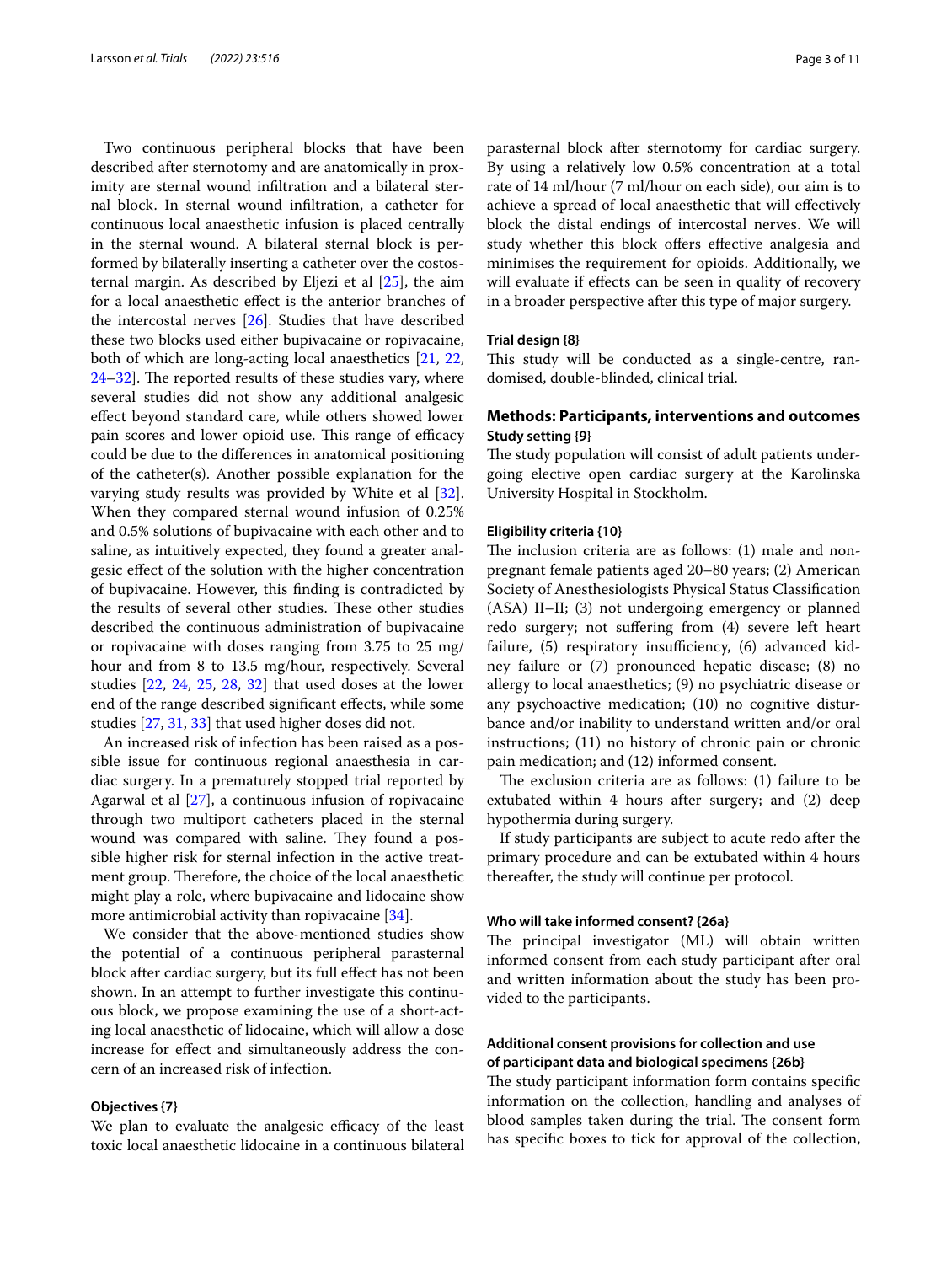Two continuous peripheral blocks that have been described after sternotomy and are anatomically in proximity are sternal wound infltration and a bilateral sternal block. In sternal wound infltration, a catheter for continuous local anaesthetic infusion is placed centrally in the sternal wound. A bilateral sternal block is performed by bilaterally inserting a catheter over the costosternal margin. As described by Eljezi et al [\[25\]](#page-9-13), the aim for a local anaesthetic efect is the anterior branches of the intercostal nerves [[26\]](#page-9-14). Studies that have described these two blocks used either bupivacaine or ropivacaine, both of which are long-acting local anaesthetics [\[21,](#page-9-15) [22](#page-9-16),  $24-32$  $24-32$ ]. The reported results of these studies vary, where several studies did not show any additional analgesic efect beyond standard care, while others showed lower pain scores and lower opioid use. This range of efficacy could be due to the diferences in anatomical positioning of the catheter(s). Another possible explanation for the varying study results was provided by White et al [\[32](#page-9-17)]. When they compared sternal wound infusion of 0.25% and 0.5% solutions of bupivacaine with each other and to saline, as intuitively expected, they found a greater analgesic efect of the solution with the higher concentration of bupivacaine. However, this fnding is contradicted by the results of several other studies. These other studies described the continuous administration of bupivacaine or ropivacaine with doses ranging from 3.75 to 25 mg/ hour and from 8 to 13.5 mg/hour, respectively. Several studies [[22,](#page-9-16) [24](#page-9-12), [25](#page-9-13), [28,](#page-9-18) [32](#page-9-17)] that used doses at the lower end of the range described signifcant efects, while some studies [[27,](#page-9-19) [31,](#page-9-20) [33](#page-9-21)] that used higher doses did not.

An increased risk of infection has been raised as a possible issue for continuous regional anaesthesia in cardiac surgery. In a prematurely stopped trial reported by Agarwal et al [\[27\]](#page-9-19), a continuous infusion of ropivacaine through two multiport catheters placed in the sternal wound was compared with saline. They found a possible higher risk for sternal infection in the active treatment group. Therefore, the choice of the local anaesthetic might play a role, where bupivacaine and lidocaine show more antimicrobial activity than ropivacaine [\[34](#page-9-22)].

We consider that the above-mentioned studies show the potential of a continuous peripheral parasternal block after cardiac surgery, but its full efect has not been shown. In an attempt to further investigate this continuous block, we propose examining the use of a short-acting local anaesthetic of lidocaine, which will allow a dose increase for efect and simultaneously address the concern of an increased risk of infection.

#### **Objectives {7}**

We plan to evaluate the analgesic efficacy of the least toxic local anaesthetic lidocaine in a continuous bilateral

parasternal block after sternotomy for cardiac surgery. By using a relatively low 0.5% concentration at a total rate of 14 ml/hour (7 ml/hour on each side), our aim is to achieve a spread of local anaesthetic that will efectively block the distal endings of intercostal nerves. We will study whether this block offers effective analgesia and minimises the requirement for opioids. Additionally, we will evaluate if effects can be seen in quality of recovery in a broader perspective after this type of major surgery.

### **Trial design {8}**

This study will be conducted as a single-centre, randomised, double-blinded, clinical trial.

### **Methods: Participants, interventions and outcomes Study setting {9}**

The study population will consist of adult patients undergoing elective open cardiac surgery at the Karolinska University Hospital in Stockholm.

### **Eligibility criteria {10}**

The inclusion criteria are as follows: (1) male and nonpregnant female patients aged 20–80 years; (2) American Society of Anesthesiologists Physical Status Classifcation (ASA) II–II; (3) not undergoing emergency or planned redo surgery; not sufering from (4) severe left heart failure,  $(5)$  respiratory insufficiency,  $(6)$  advanced kidney failure or (7) pronounced hepatic disease; (8) no allergy to local anaesthetics; (9) no psychiatric disease or any psychoactive medication; (10) no cognitive disturbance and/or inability to understand written and/or oral instructions; (11) no history of chronic pain or chronic pain medication; and (12) informed consent.

The exclusion criteria are as follows:  $(1)$  failure to be extubated within 4 hours after surgery; and (2) deep hypothermia during surgery.

If study participants are subject to acute redo after the primary procedure and can be extubated within 4 hours thereafter, the study will continue per protocol.

### **Who will take informed consent? {26a}**

The principal investigator (ML) will obtain written informed consent from each study participant after oral and written information about the study has been provided to the participants.

### **Additional consent provisions for collection and use of participant data and biological specimens {26b}**

The study participant information form contains specific information on the collection, handling and analyses of blood samples taken during the trial. The consent form has specifc boxes to tick for approval of the collection,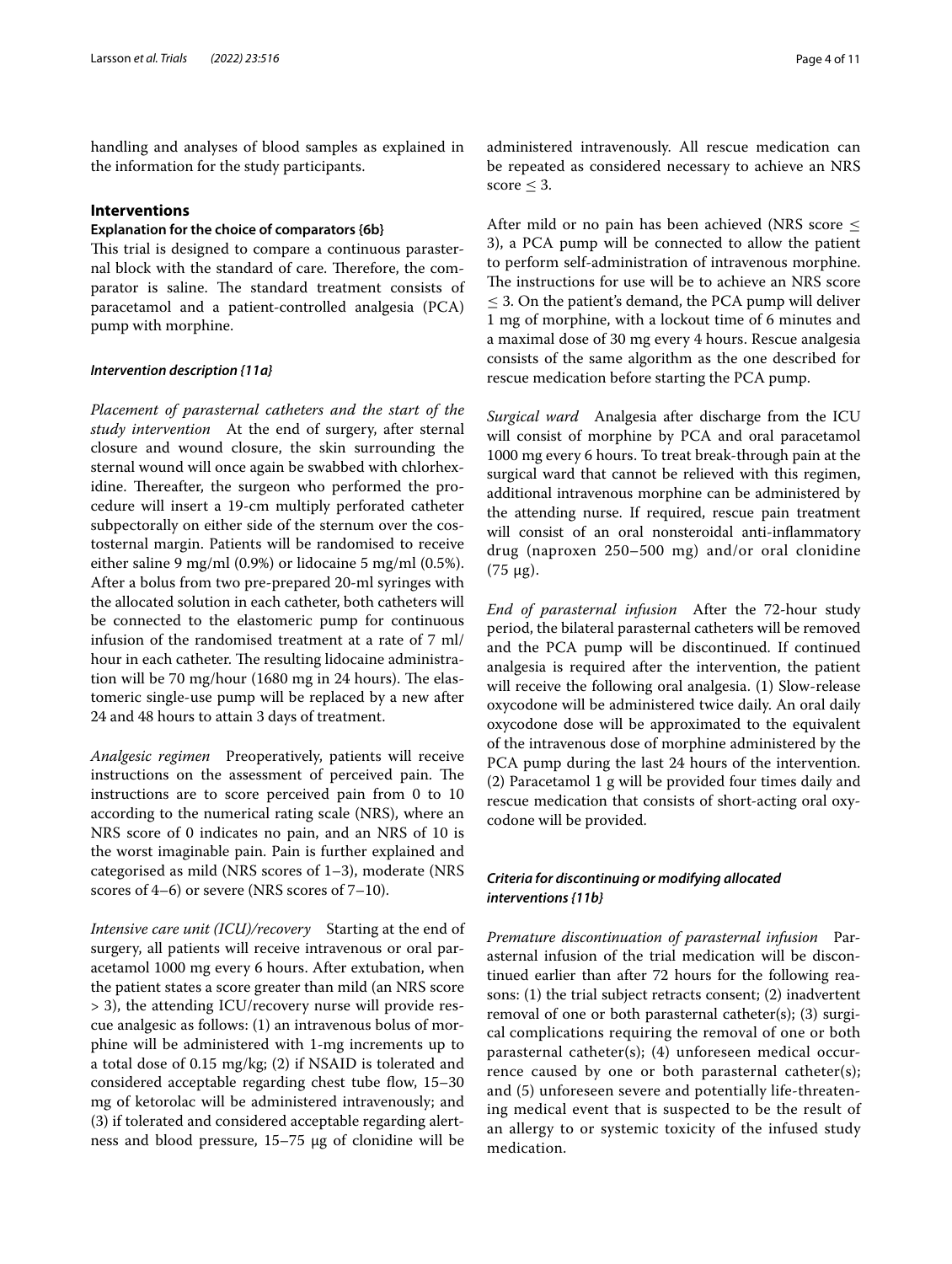handling and analyses of blood samples as explained in the information for the study participants.

### **Interventions**

### **Explanation for the choice of comparators {6b}**

This trial is designed to compare a continuous parasternal block with the standard of care. Therefore, the comparator is saline. The standard treatment consists of paracetamol and a patient-controlled analgesia (PCA) pump with morphine.

### *Intervention description {11a}*

*Placement of parasternal catheters and the start of the study intervention* At the end of surgery, after sternal closure and wound closure, the skin surrounding the sternal wound will once again be swabbed with chlorhexidine. Thereafter, the surgeon who performed the procedure will insert a 19-cm multiply perforated catheter subpectorally on either side of the sternum over the costosternal margin. Patients will be randomised to receive either saline 9 mg/ml (0.9%) or lidocaine 5 mg/ml (0.5%). After a bolus from two pre-prepared 20-ml syringes with the allocated solution in each catheter, both catheters will be connected to the elastomeric pump for continuous infusion of the randomised treatment at a rate of 7 ml/ hour in each catheter. The resulting lidocaine administration will be 70 mg/hour (1680 mg in 24 hours). The elastomeric single-use pump will be replaced by a new after 24 and 48 hours to attain 3 days of treatment.

*Analgesic regimen* Preoperatively, patients will receive instructions on the assessment of perceived pain. The instructions are to score perceived pain from 0 to 10 according to the numerical rating scale (NRS), where an NRS score of 0 indicates no pain, and an NRS of 10 is the worst imaginable pain. Pain is further explained and categorised as mild (NRS scores of 1–3), moderate (NRS scores of 4–6) or severe (NRS scores of 7–10).

*Intensive care unit (ICU)/recovery* Starting at the end of surgery, all patients will receive intravenous or oral paracetamol 1000 mg every 6 hours. After extubation, when the patient states a score greater than mild (an NRS score > 3), the attending ICU/recovery nurse will provide rescue analgesic as follows: (1) an intravenous bolus of morphine will be administered with 1-mg increments up to a total dose of 0.15 mg/kg; (2) if NSAID is tolerated and considered acceptable regarding chest tube flow,  $15-30$ mg of ketorolac will be administered intravenously; and (3) if tolerated and considered acceptable regarding alertness and blood pressure, 15–75 μg of clonidine will be administered intravenously. All rescue medication can be repeated as considered necessary to achieve an NRS score  $\leq$  3.

After mild or no pain has been achieved (NRS score ≤ 3), a PCA pump will be connected to allow the patient to perform self-administration of intravenous morphine. The instructions for use will be to achieve an NRS score ≤ 3. On the patient's demand, the PCA pump will deliver 1 mg of morphine, with a lockout time of 6 minutes and a maximal dose of 30 mg every 4 hours. Rescue analgesia consists of the same algorithm as the one described for rescue medication before starting the PCA pump.

*Surgical ward* Analgesia after discharge from the ICU will consist of morphine by PCA and oral paracetamol 1000 mg every 6 hours. To treat break-through pain at the surgical ward that cannot be relieved with this regimen, additional intravenous morphine can be administered by the attending nurse. If required, rescue pain treatment will consist of an oral nonsteroidal anti-infammatory drug (naproxen 250–500 mg) and/or oral clonidine (75 μg).

*End of parasternal infusion* After the 72-hour study period, the bilateral parasternal catheters will be removed and the PCA pump will be discontinued. If continued analgesia is required after the intervention, the patient will receive the following oral analgesia. (1) Slow-release oxycodone will be administered twice daily. An oral daily oxycodone dose will be approximated to the equivalent of the intravenous dose of morphine administered by the PCA pump during the last 24 hours of the intervention. (2) Paracetamol 1 g will be provided four times daily and rescue medication that consists of short-acting oral oxycodone will be provided.

### *Criteria for discontinuing or modifying allocated interventions {11b}*

*Premature discontinuation of parasternal infusion* Parasternal infusion of the trial medication will be discontinued earlier than after 72 hours for the following reasons: (1) the trial subject retracts consent; (2) inadvertent removal of one or both parasternal catheter(s); (3) surgical complications requiring the removal of one or both parasternal catheter(s); (4) unforeseen medical occurrence caused by one or both parasternal catheter(s); and (5) unforeseen severe and potentially life-threatening medical event that is suspected to be the result of an allergy to or systemic toxicity of the infused study medication.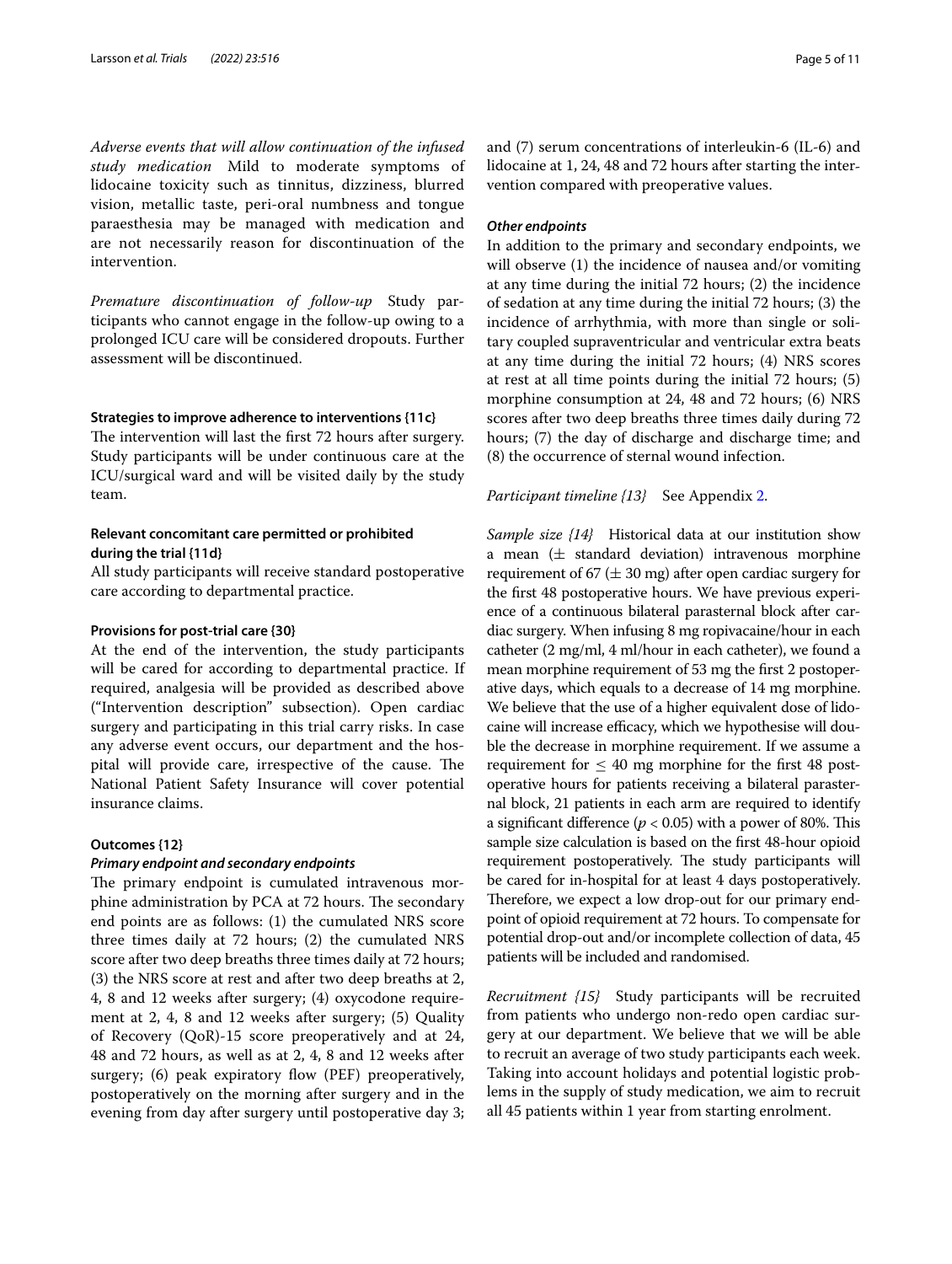*Adverse events that will allow continuation of the infused study medication* Mild to moderate symptoms of lidocaine toxicity such as tinnitus, dizziness, blurred vision, metallic taste, peri-oral numbness and tongue paraesthesia may be managed with medication and are not necessarily reason for discontinuation of the intervention.

*Premature discontinuation of follow‑up* Study participants who cannot engage in the follow-up owing to a prolonged ICU care will be considered dropouts. Further assessment will be discontinued.

### **Strategies to improve adherence to interventions {11c}**

The intervention will last the first 72 hours after surgery. Study participants will be under continuous care at the ICU/surgical ward and will be visited daily by the study team.

### **Relevant concomitant care permitted or prohibited during the trial {11d}**

All study participants will receive standard postoperative care according to departmental practice.

#### **Provisions for post‑trial care {30}**

At the end of the intervention, the study participants will be cared for according to departmental practice. If required, analgesia will be provided as described above ("Intervention description" subsection). Open cardiac surgery and participating in this trial carry risks. In case any adverse event occurs, our department and the hospital will provide care, irrespective of the cause. The National Patient Safety Insurance will cover potential insurance claims.

### **Outcomes {12}**

### *Primary endpoint and secondary endpoints*

The primary endpoint is cumulated intravenous morphine administration by PCA at 72 hours. The secondary end points are as follows: (1) the cumulated NRS score three times daily at 72 hours; (2) the cumulated NRS score after two deep breaths three times daily at 72 hours; (3) the NRS score at rest and after two deep breaths at 2, 4, 8 and 12 weeks after surgery; (4) oxycodone requirement at 2, 4, 8 and 12 weeks after surgery; (5) Quality of Recovery (QoR)-15 score preoperatively and at 24, 48 and 72 hours, as well as at 2, 4, 8 and 12 weeks after surgery; (6) peak expiratory flow (PEF) preoperatively, postoperatively on the morning after surgery and in the evening from day after surgery until postoperative day 3; and (7) serum concentrations of interleukin-6 (IL-6) and lidocaine at 1, 24, 48 and 72 hours after starting the intervention compared with preoperative values.

#### *Other endpoints*

In addition to the primary and secondary endpoints, we will observe (1) the incidence of nausea and/or vomiting at any time during the initial 72 hours; (2) the incidence of sedation at any time during the initial 72 hours; (3) the incidence of arrhythmia, with more than single or solitary coupled supraventricular and ventricular extra beats at any time during the initial 72 hours; (4) NRS scores at rest at all time points during the initial 72 hours; (5) morphine consumption at 24, 48 and 72 hours; (6) NRS scores after two deep breaths three times daily during 72 hours; (7) the day of discharge and discharge time; and (8) the occurrence of sternal wound infection.

### *Participant timeline {13}* See Appendix [2](#page-8-0).

*Sample size {14}* Historical data at our institution show a mean  $(\pm$  standard deviation) intravenous morphine requirement of 67 ( $\pm$  30 mg) after open cardiac surgery for the frst 48 postoperative hours. We have previous experience of a continuous bilateral parasternal block after cardiac surgery. When infusing 8 mg ropivacaine/hour in each catheter (2 mg/ml, 4 ml/hour in each catheter), we found a mean morphine requirement of 53 mg the frst 2 postoperative days, which equals to a decrease of 14 mg morphine. We believe that the use of a higher equivalent dose of lidocaine will increase efficacy, which we hypothesise will double the decrease in morphine requirement. If we assume a requirement for  $\leq 40$  mg morphine for the first 48 postoperative hours for patients receiving a bilateral parasternal block, 21 patients in each arm are required to identify a significant difference ( $p < 0.05$ ) with a power of 80%. This sample size calculation is based on the frst 48-hour opioid requirement postoperatively. The study participants will be cared for in-hospital for at least 4 days postoperatively. Therefore, we expect a low drop-out for our primary endpoint of opioid requirement at 72 hours. To compensate for potential drop-out and/or incomplete collection of data, 45 patients will be included and randomised.

*Recruitment {15}* Study participants will be recruited from patients who undergo non-redo open cardiac surgery at our department. We believe that we will be able to recruit an average of two study participants each week. Taking into account holidays and potential logistic problems in the supply of study medication, we aim to recruit all 45 patients within 1 year from starting enrolment.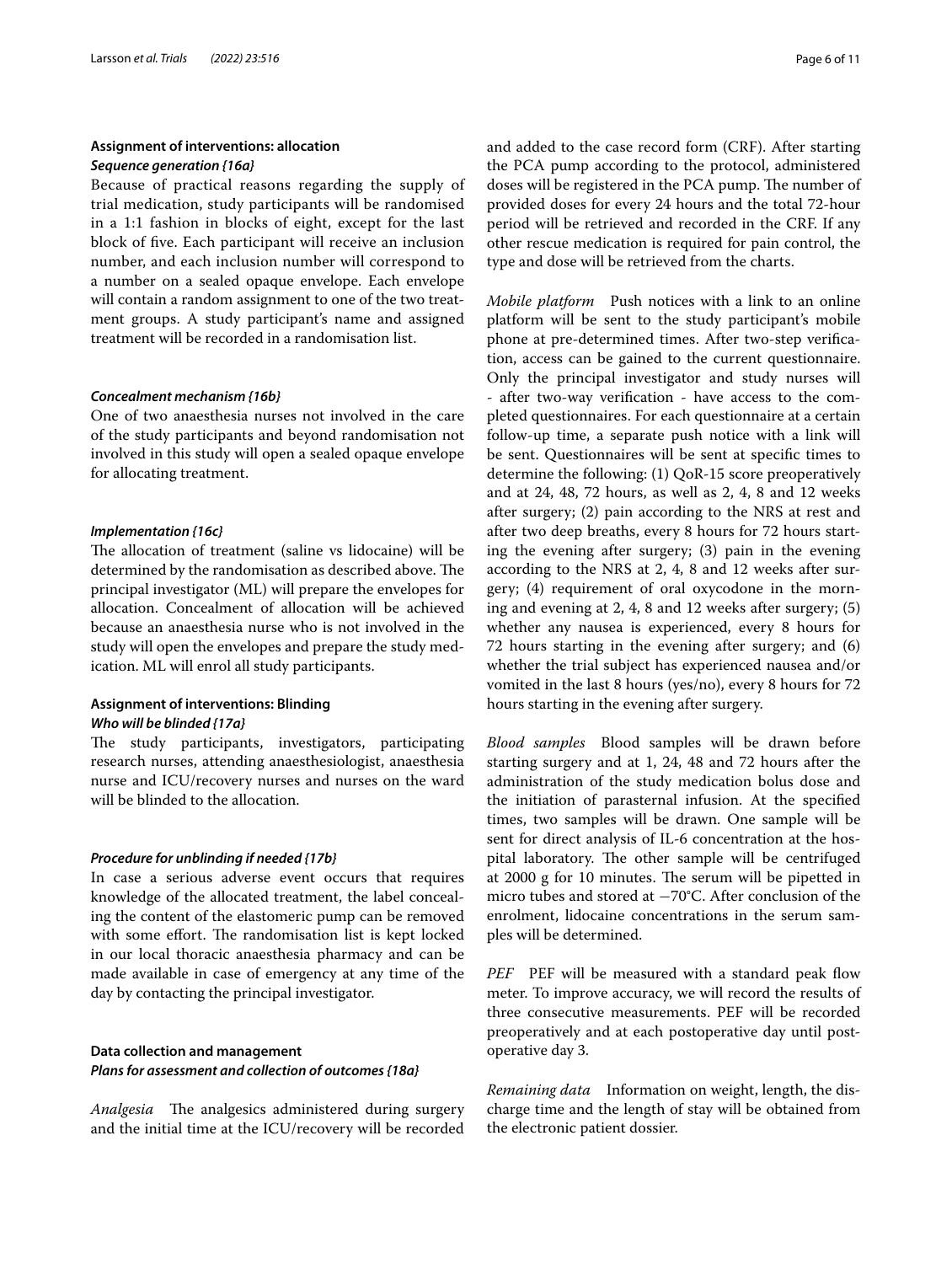### **Assignment of interventions: allocation** *Sequence generation {16a}*

Because of practical reasons regarding the supply of trial medication, study participants will be randomised in a 1:1 fashion in blocks of eight, except for the last block of fve. Each participant will receive an inclusion number, and each inclusion number will correspond to a number on a sealed opaque envelope. Each envelope will contain a random assignment to one of the two treatment groups. A study participant's name and assigned treatment will be recorded in a randomisation list.

### *Concealment mechanism {16b}*

One of two anaesthesia nurses not involved in the care of the study participants and beyond randomisation not involved in this study will open a sealed opaque envelope for allocating treatment.

### *Implementation {16c}*

The allocation of treatment (saline vs lidocaine) will be determined by the randomisation as described above. The principal investigator (ML) will prepare the envelopes for allocation. Concealment of allocation will be achieved because an anaesthesia nurse who is not involved in the study will open the envelopes and prepare the study medication. ML will enrol all study participants.

### **Assignment of interventions: Blinding** *Who will be blinded {17a}*

The study participants, investigators, participating research nurses, attending anaesthesiologist, anaesthesia nurse and ICU/recovery nurses and nurses on the ward will be blinded to the allocation.

### *Procedure for unblinding if needed {17b}*

In case a serious adverse event occurs that requires knowledge of the allocated treatment, the label concealing the content of the elastomeric pump can be removed with some effort. The randomisation list is kept locked in our local thoracic anaesthesia pharmacy and can be made available in case of emergency at any time of the day by contacting the principal investigator.

### **Data collection and management** *Plans for assessment and collection of outcomes {18a}*

*Analgesia* The analgesics administered during surgery and the initial time at the ICU/recovery will be recorded and added to the case record form (CRF). After starting the PCA pump according to the protocol, administered doses will be registered in the PCA pump. The number of provided doses for every 24 hours and the total 72-hour period will be retrieved and recorded in the CRF. If any other rescue medication is required for pain control, the type and dose will be retrieved from the charts.

*Mobile platform* Push notices with a link to an online platform will be sent to the study participant's mobile phone at pre-determined times. After two-step verifcation, access can be gained to the current questionnaire. Only the principal investigator and study nurses will - after two-way verifcation - have access to the completed questionnaires. For each questionnaire at a certain follow-up time, a separate push notice with a link will be sent. Questionnaires will be sent at specifc times to determine the following: (1) QoR-15 score preoperatively and at 24, 48, 72 hours, as well as 2, 4, 8 and 12 weeks after surgery; (2) pain according to the NRS at rest and after two deep breaths, every 8 hours for 72 hours starting the evening after surgery; (3) pain in the evening according to the NRS at 2, 4, 8 and 12 weeks after surgery; (4) requirement of oral oxycodone in the morning and evening at 2, 4, 8 and 12 weeks after surgery; (5) whether any nausea is experienced, every 8 hours for 72 hours starting in the evening after surgery; and (6) whether the trial subject has experienced nausea and/or vomited in the last 8 hours (yes/no), every 8 hours for 72 hours starting in the evening after surgery.

*Blood samples* Blood samples will be drawn before starting surgery and at 1, 24, 48 and 72 hours after the administration of the study medication bolus dose and the initiation of parasternal infusion. At the specifed times, two samples will be drawn. One sample will be sent for direct analysis of IL-6 concentration at the hospital laboratory. The other sample will be centrifuged at 2000 g for 10 minutes. The serum will be pipetted in micro tubes and stored at −70°C. After conclusion of the enrolment, lidocaine concentrations in the serum samples will be determined.

PEF PEF will be measured with a standard peak flow meter. To improve accuracy, we will record the results of three consecutive measurements. PEF will be recorded preoperatively and at each postoperative day until postoperative day 3.

*Remaining data* Information on weight, length, the discharge time and the length of stay will be obtained from the electronic patient dossier.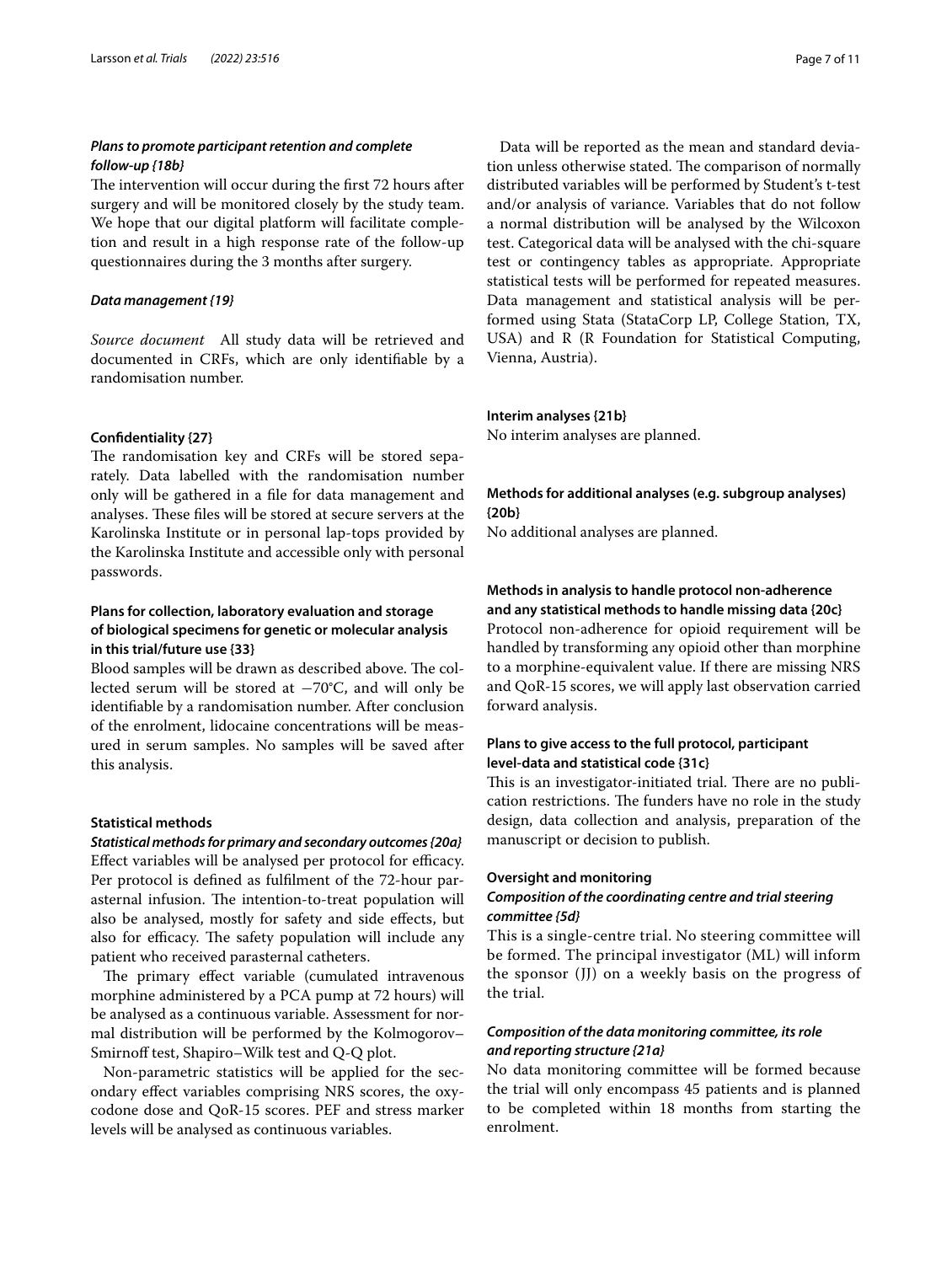### *Plans to promote participant retention and complete follow‑up {18b}*

The intervention will occur during the first 72 hours after surgery and will be monitored closely by the study team. We hope that our digital platform will facilitate completion and result in a high response rate of the follow-up questionnaires during the 3 months after surgery.

### *Data management {19}*

*Source document* All study data will be retrieved and documented in CRFs, which are only identifable by a randomisation number.

#### **Confdentiality {27}**

The randomisation key and CRFs will be stored separately. Data labelled with the randomisation number only will be gathered in a fle for data management and analyses. These files will be stored at secure servers at the Karolinska Institute or in personal lap-tops provided by the Karolinska Institute and accessible only with personal passwords.

### **Plans for collection, laboratory evaluation and storage of biological specimens for genetic or molecular analysis in this trial/future use {33}**

Blood samples will be drawn as described above. The collected serum will be stored at −70°C, and will only be identifable by a randomisation number. After conclusion of the enrolment, lidocaine concentrations will be measured in serum samples. No samples will be saved after this analysis.

### **Statistical methods**

*Statistical methods for primary and secondary outcomes {20a}* Effect variables will be analysed per protocol for efficacy. Per protocol is defned as fulflment of the 72-hour parasternal infusion. The intention-to-treat population will also be analysed, mostly for safety and side efects, but also for efficacy. The safety population will include any patient who received parasternal catheters.

The primary effect variable (cumulated intravenous morphine administered by a PCA pump at 72 hours) will be analysed as a continuous variable. Assessment for normal distribution will be performed by the Kolmogorov– Smirnoff test, Shapiro–Wilk test and Q-Q plot.

Non-parametric statistics will be applied for the secondary efect variables comprising NRS scores, the oxycodone dose and QoR-15 scores. PEF and stress marker levels will be analysed as continuous variables.

Data will be reported as the mean and standard deviation unless otherwise stated. The comparison of normally distributed variables will be performed by Student's t-test and/or analysis of variance. Variables that do not follow a normal distribution will be analysed by the Wilcoxon test. Categorical data will be analysed with the chi-square test or contingency tables as appropriate. Appropriate statistical tests will be performed for repeated measures. Data management and statistical analysis will be performed using Stata (StataCorp LP, College Station, TX, USA) and R (R Foundation for Statistical Computing, Vienna, Austria).

### **Interim analyses {21b}**

No interim analyses are planned.

### **Methods for additional analyses (e.g. subgroup analyses) {20b}**

No additional analyses are planned.

### **Methods in analysis to handle protocol non‑adherence and any statistical methods to handle missing data {20c}**

Protocol non-adherence for opioid requirement will be handled by transforming any opioid other than morphine to a morphine-equivalent value. If there are missing NRS and QoR-15 scores, we will apply last observation carried forward analysis.

### **Plans to give access to the full protocol, participant level‑data and statistical code {31c}**

This is an investigator-initiated trial. There are no publication restrictions. The funders have no role in the study design, data collection and analysis, preparation of the manuscript or decision to publish.

### **Oversight and monitoring**

### *Composition of the coordinating centre and trial steering committee {5d}*

This is a single-centre trial. No steering committee will be formed. The principal investigator (ML) will inform the sponsor (JJ) on a weekly basis on the progress of the trial.

### *Composition of the data monitoring committee, its role and reporting structure {21a}*

No data monitoring committee will be formed because the trial will only encompass 45 patients and is planned to be completed within 18 months from starting the enrolment.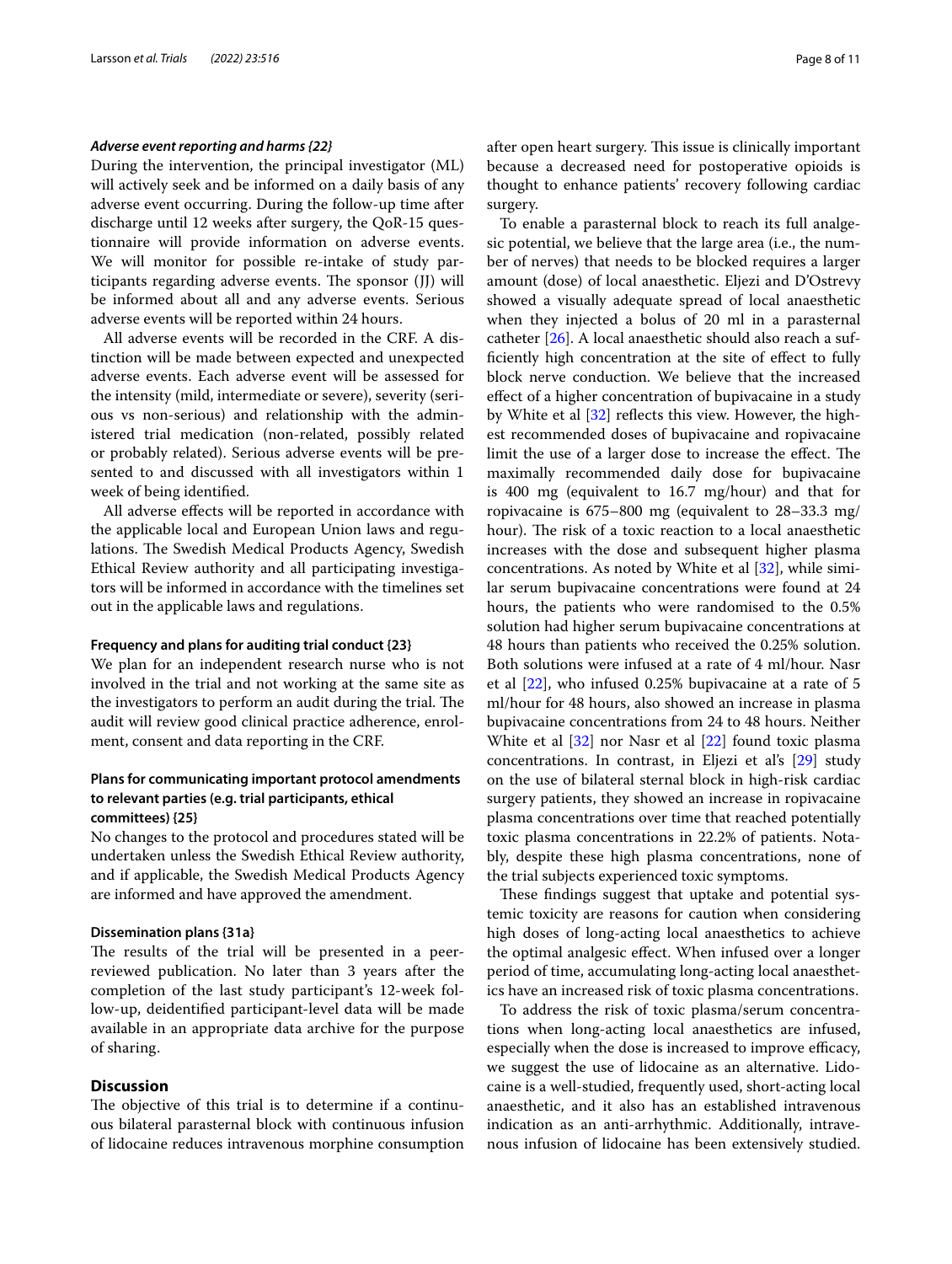#### *Adverse event reporting and harms {22}*

During the intervention, the principal investigator (ML) will actively seek and be informed on a daily basis of any adverse event occurring. During the follow-up time after discharge until 12 weeks after surgery, the QoR-15 questionnaire will provide information on adverse events. We will monitor for possible re-intake of study participants regarding adverse events. The sponsor (JJ) will be informed about all and any adverse events. Serious adverse events will be reported within 24 hours.

All adverse events will be recorded in the CRF. A distinction will be made between expected and unexpected adverse events. Each adverse event will be assessed for the intensity (mild, intermediate or severe), severity (serious vs non-serious) and relationship with the administered trial medication (non-related, possibly related or probably related). Serious adverse events will be presented to and discussed with all investigators within 1 week of being identifed.

All adverse efects will be reported in accordance with the applicable local and European Union laws and regulations. The Swedish Medical Products Agency, Swedish Ethical Review authority and all participating investigators will be informed in accordance with the timelines set out in the applicable laws and regulations.

#### **Frequency and plans for auditing trial conduct {23}**

We plan for an independent research nurse who is not involved in the trial and not working at the same site as the investigators to perform an audit during the trial. The audit will review good clinical practice adherence, enrolment, consent and data reporting in the CRF.

### **Plans for communicating important protocol amendments to relevant parties (e.g. trial participants, ethical committees) {25}**

No changes to the protocol and procedures stated will be undertaken unless the Swedish Ethical Review authority, and if applicable, the Swedish Medical Products Agency are informed and have approved the amendment.

#### **Dissemination plans {31a}**

The results of the trial will be presented in a peerreviewed publication. No later than 3 years after the completion of the last study participant's 12-week follow-up, deidentifed participant-level data will be made available in an appropriate data archive for the purpose of sharing.

### **Discussion**

The objective of this trial is to determine if a continuous bilateral parasternal block with continuous infusion of lidocaine reduces intravenous morphine consumption after open heart surgery. This issue is clinically important because a decreased need for postoperative opioids is thought to enhance patients' recovery following cardiac surgery.

To enable a parasternal block to reach its full analgesic potential, we believe that the large area (i.e., the number of nerves) that needs to be blocked requires a larger amount (dose) of local anaesthetic. Eljezi and D'Ostrevy showed a visually adequate spread of local anaesthetic when they injected a bolus of 20 ml in a parasternal catheter [[26\]](#page-9-14). A local anaesthetic should also reach a suffciently high concentration at the site of efect to fully block nerve conduction. We believe that the increased efect of a higher concentration of bupivacaine in a study by White et al [[32](#page-9-17)] reflects this view. However, the highest recommended doses of bupivacaine and ropivacaine limit the use of a larger dose to increase the effect. The maximally recommended daily dose for bupivacaine is 400 mg (equivalent to 16.7 mg/hour) and that for ropivacaine is 675–800 mg (equivalent to 28–33.3 mg/ hour). The risk of a toxic reaction to a local anaesthetic increases with the dose and subsequent higher plasma concentrations. As noted by White et al [[32\]](#page-9-17), while similar serum bupivacaine concentrations were found at 24 hours, the patients who were randomised to the 0.5% solution had higher serum bupivacaine concentrations at 48 hours than patients who received the 0.25% solution. Both solutions were infused at a rate of 4 ml/hour. Nasr et al [[22\]](#page-9-16), who infused 0.25% bupivacaine at a rate of 5 ml/hour for 48 hours, also showed an increase in plasma bupivacaine concentrations from 24 to 48 hours. Neither White et al [\[32\]](#page-9-17) nor Nasr et al [[22\]](#page-9-16) found toxic plasma concentrations. In contrast, in Eljezi et al's [[29\]](#page-9-23) study on the use of bilateral sternal block in high-risk cardiac surgery patients, they showed an increase in ropivacaine plasma concentrations over time that reached potentially toxic plasma concentrations in 22.2% of patients. Notably, despite these high plasma concentrations, none of the trial subjects experienced toxic symptoms.

These findings suggest that uptake and potential systemic toxicity are reasons for caution when considering high doses of long-acting local anaesthetics to achieve the optimal analgesic efect. When infused over a longer period of time, accumulating long-acting local anaesthetics have an increased risk of toxic plasma concentrations.

To address the risk of toxic plasma/serum concentrations when long-acting local anaesthetics are infused, especially when the dose is increased to improve efficacy, we suggest the use of lidocaine as an alternative. Lidocaine is a well-studied, frequently used, short-acting local anaesthetic, and it also has an established intravenous indication as an anti-arrhythmic. Additionally, intravenous infusion of lidocaine has been extensively studied.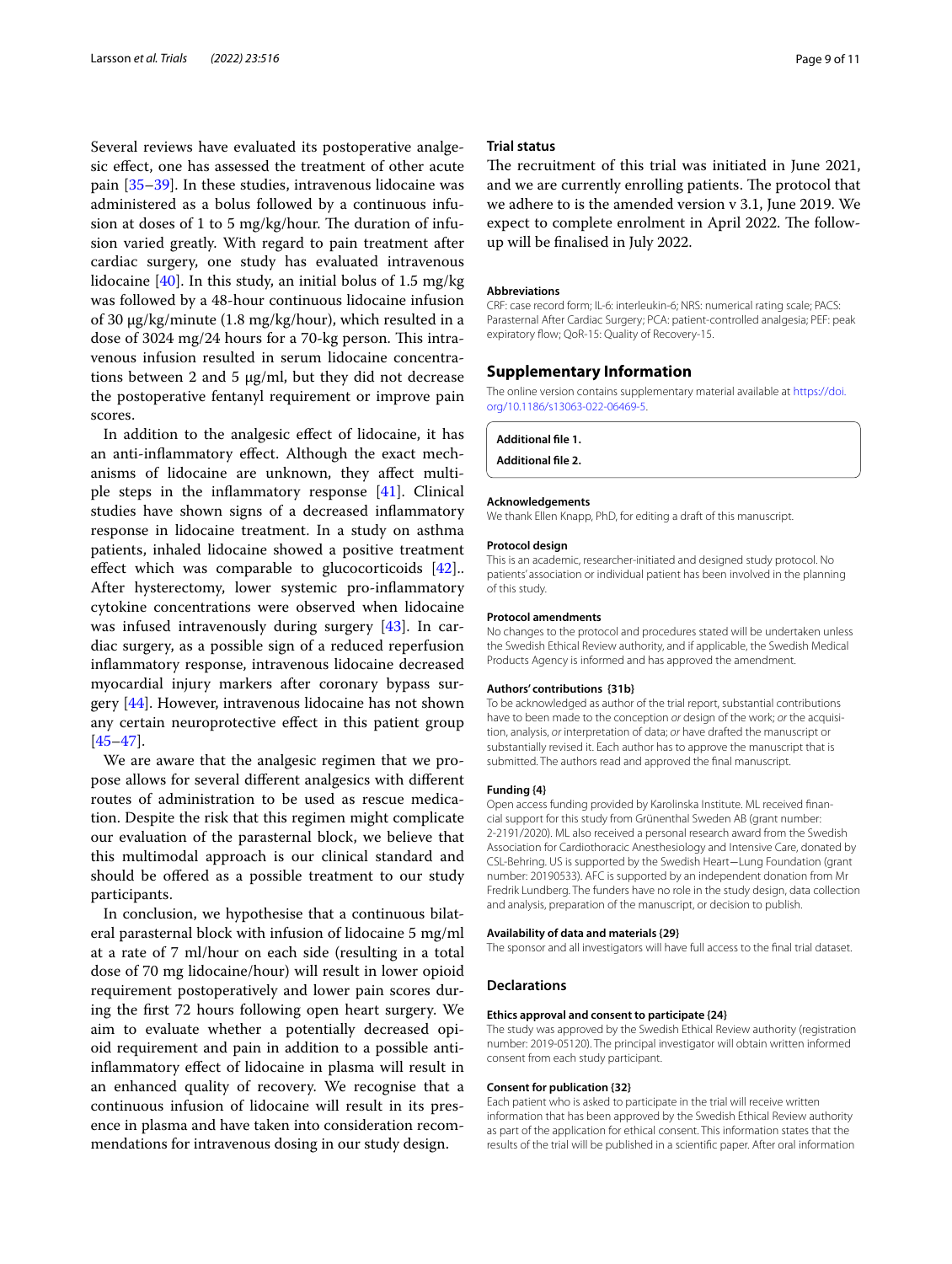Several reviews have evaluated its postoperative analgesic efect, one has assessed the treatment of other acute pain [[35](#page-9-24)[–39](#page-9-25)]. In these studies, intravenous lidocaine was administered as a bolus followed by a continuous infusion at doses of 1 to 5 mg/kg/hour. The duration of infusion varied greatly. With regard to pain treatment after cardiac surgery, one study has evaluated intravenous lidocaine [[40\]](#page-10-0). In this study, an initial bolus of 1.5 mg/kg was followed by a 48-hour continuous lidocaine infusion of 30 μg/kg/minute (1.8 mg/kg/hour), which resulted in a dose of 3024 mg/24 hours for a 70-kg person. This intravenous infusion resulted in serum lidocaine concentrations between 2 and 5  $\mu$ g/ml, but they did not decrease the postoperative fentanyl requirement or improve pain scores.

In addition to the analgesic efect of lidocaine, it has an anti-infammatory efect. Although the exact mechanisms of lidocaine are unknown, they afect multiple steps in the infammatory response [\[41](#page-10-1)]. Clinical studies have shown signs of a decreased infammatory response in lidocaine treatment. In a study on asthma patients, inhaled lidocaine showed a positive treatment effect which was comparable to glucocorticoids [\[42\]](#page-10-2)... After hysterectomy, lower systemic pro-infammatory cytokine concentrations were observed when lidocaine was infused intravenously during surgery [\[43](#page-10-3)]. In cardiac surgery, as a possible sign of a reduced reperfusion infammatory response, intravenous lidocaine decreased myocardial injury markers after coronary bypass surgery [\[44](#page-10-4)]. However, intravenous lidocaine has not shown any certain neuroprotective efect in this patient group [[45–](#page-10-5)[47](#page-10-6)].

We are aware that the analgesic regimen that we propose allows for several diferent analgesics with diferent routes of administration to be used as rescue medication. Despite the risk that this regimen might complicate our evaluation of the parasternal block, we believe that this multimodal approach is our clinical standard and should be offered as a possible treatment to our study participants.

In conclusion, we hypothesise that a continuous bilateral parasternal block with infusion of lidocaine 5 mg/ml at a rate of 7 ml/hour on each side (resulting in a total dose of 70 mg lidocaine/hour) will result in lower opioid requirement postoperatively and lower pain scores during the frst 72 hours following open heart surgery. We aim to evaluate whether a potentially decreased opioid requirement and pain in addition to a possible antiinfammatory efect of lidocaine in plasma will result in an enhanced quality of recovery. We recognise that a continuous infusion of lidocaine will result in its presence in plasma and have taken into consideration recommendations for intravenous dosing in our study design.

#### **Trial status**

The recruitment of this trial was initiated in June 2021, and we are currently enrolling patients. The protocol that we adhere to is the amended version v 3.1, June 2019. We expect to complete enrolment in April 2022. The followup will be fnalised in July 2022.

#### **Abbreviations**

CRF: case record form; IL-6: interleukin-6; NRS: numerical rating scale; PACS: Parasternal After Cardiac Surgery; PCA: patient-controlled analgesia; PEF: peak expiratory flow; QoR-15: Quality of Recovery-15.

#### **Supplementary Information**

The online version contains supplementary material available at [https://doi.](https://doi.org/10.1186/s13063-022-06469-5) [org/10.1186/s13063-022-06469-5](https://doi.org/10.1186/s13063-022-06469-5).

#### <span id="page-8-0"></span>**Additional fle 1.**

**Additional fle 2.**

#### **Acknowledgements**

We thank Ellen Knapp, PhD, for editing a draft of this manuscript.

#### **Protocol design**

This is an academic, researcher-initiated and designed study protocol. No patients' association or individual patient has been involved in the planning of this study.

#### **Protocol amendments**

No changes to the protocol and procedures stated will be undertaken unless the Swedish Ethical Review authority, and if applicable, the Swedish Medical Products Agency is informed and has approved the amendment.

#### **Authors' contributions {31b}**

To be acknowledged as author of the trial report, substantial contributions have to been made to the conception *or* design of the work; *or* the acquisition, analysis, *or* interpretation of data; *or* have drafted the manuscript or substantially revised it. Each author has to approve the manuscript that is submitted. The authors read and approved the fnal manuscript.

#### **Funding {4}**

Open access funding provided by Karolinska Institute. ML received financial support for this study from Grünenthal Sweden AB (grant number: 2-2191/2020). ML also received a personal research award from the Swedish Association for Cardiothoracic Anesthesiology and Intensive Care, donated by CSL-Behring. US is supported by the Swedish Heart−Lung Foundation (grant number: 20190533). AFC is supported by an independent donation from Mr Fredrik Lundberg. The funders have no role in the study design, data collection and analysis, preparation of the manuscript, or decision to publish.

#### **Availability of data and materials {29}**

The sponsor and all investigators will have full access to the fnal trial dataset.

#### **Declarations**

#### **Ethics approval and consent to participate {24}**

The study was approved by the Swedish Ethical Review authority (registration number: 2019-05120). The principal investigator will obtain written informed consent from each study participant.

#### **Consent for publication {32}**

Each patient who is asked to participate in the trial will receive written information that has been approved by the Swedish Ethical Review authority as part of the application for ethical consent. This information states that the results of the trial will be published in a scientifc paper. After oral information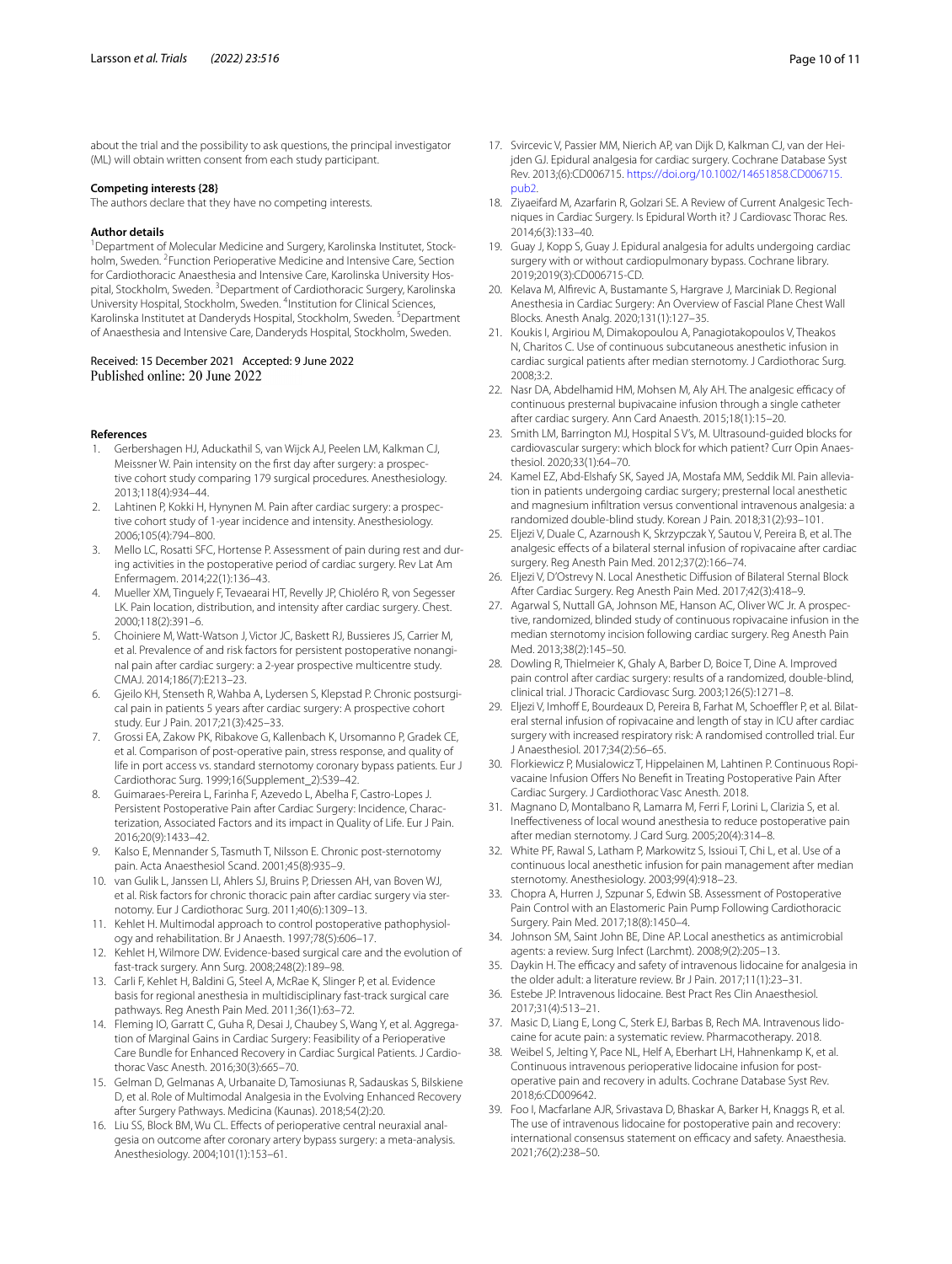about the trial and the possibility to ask questions, the principal investigator (ML) will obtain written consent from each study participant.

#### **Competing interests {28}**

The authors declare that they have no competing interests.

#### **Author details**

<sup>1</sup> Department of Molecular Medicine and Surgery, Karolinska Institutet, Stockholm, Sweden. <sup>2</sup> Function Perioperative Medicine and Intensive Care, Section for Cardiothoracic Anaesthesia and Intensive Care, Karolinska University Hospital, Stockholm, Sweden. <sup>3</sup> Department of Cardiothoracic Surgery, Karolinska University Hospital, Stockholm, Sweden. <sup>4</sup>Institution for Clinical Sciences, Karolinska Institutet at Danderyds Hospital, Stockholm, Sweden. <sup>5</sup>Department of Anaesthesia and Intensive Care, Danderyds Hospital, Stockholm, Sweden.

# Received: 15 December 2021 Accepted: 9 June 2022

#### **References**

- <span id="page-9-0"></span>1. Gerbershagen HJ, Aduckathil S, van Wijck AJ, Peelen LM, Kalkman CJ, Meissner W. Pain intensity on the frst day after surgery: a prospec‑ tive cohort study comparing 179 surgical procedures. Anesthesiology. 2013;118(4):934–44.
- <span id="page-9-2"></span>2. Lahtinen P, Kokki H, Hynynen M. Pain after cardiac surgery: a prospective cohort study of 1-year incidence and intensity. Anesthesiology. 2006;105(4):794–800.
- 3. Mello LC, Rosatti SFC, Hortense P. Assessment of pain during rest and during activities in the postoperative period of cardiac surgery. Rev Lat Am Enfermagem. 2014;22(1):136–43.
- <span id="page-9-1"></span>4. Mueller XM, Tinguely F, Tevaearai HT, Revelly JP, Chioléro R, von Segesser LK. Pain location, distribution, and intensity after cardiac surgery. Chest. 2000;118(2):391–6.
- <span id="page-9-3"></span>5. Choiniere M, Watt-Watson J, Victor JC, Baskett RJ, Bussieres JS, Carrier M, et al. Prevalence of and risk factors for persistent postoperative nonanginal pain after cardiac surgery: a 2-year prospective multicentre study. CMAJ. 2014;186(7):E213–23.
- 6. Gjeilo KH, Stenseth R, Wahba A, Lydersen S, Klepstad P. Chronic postsurgical pain in patients 5 years after cardiac surgery: A prospective cohort study. Eur J Pain. 2017;21(3):425–33.
- 7. Grossi EA, Zakow PK, Ribakove G, Kallenbach K, Ursomanno P, Gradek CE, et al. Comparison of post-operative pain, stress response, and quality of life in port access vs. standard sternotomy coronary bypass patients. Eur J Cardiothorac Surg. 1999;16(Supplement\_2):S39–42.
- 8. Guimaraes-Pereira L, Farinha F, Azevedo L, Abelha F, Castro-Lopes J. Persistent Postoperative Pain after Cardiac Surgery: Incidence, Characterization, Associated Factors and its impact in Quality of Life. Eur J Pain. 2016;20(9):1433–42.
- 9. Kalso E, Mennander S, Tasmuth T, Nilsson E. Chronic post-sternotomy pain. Acta Anaesthesiol Scand. 2001;45(8):935–9.
- <span id="page-9-4"></span>10. van Gulik L, Janssen LI, Ahlers SJ, Bruins P, Driessen AH, van Boven WJ, et al. Risk factors for chronic thoracic pain after cardiac surgery via sternotomy. Eur J Cardiothorac Surg. 2011;40(6):1309–13.
- <span id="page-9-5"></span>11. Kehlet H. Multimodal approach to control postoperative pathophysiol‑ ogy and rehabilitation. Br J Anaesth. 1997;78(5):606–17.
- <span id="page-9-6"></span>12. Kehlet H, Wilmore DW. Evidence-based surgical care and the evolution of fast-track surgery. Ann Surg. 2008;248(2):189–98.
- <span id="page-9-7"></span>13. Carli F, Kehlet H, Baldini G, Steel A, McRae K, Slinger P, et al. Evidence basis for regional anesthesia in multidisciplinary fast-track surgical care pathways. Reg Anesth Pain Med. 2011;36(1):63–72.
- 14. Fleming IO, Garratt C, Guha R, Desai J, Chaubey S, Wang Y, et al. Aggregation of Marginal Gains in Cardiac Surgery: Feasibility of a Perioperative Care Bundle for Enhanced Recovery in Cardiac Surgical Patients. J Cardiothorac Vasc Anesth. 2016;30(3):665–70.
- <span id="page-9-8"></span>15. Gelman D, Gelmanas A, Urbanaite D, Tamosiunas R, Sadauskas S, Bilskiene D, et al. Role of Multimodal Analgesia in the Evolving Enhanced Recovery after Surgery Pathways. Medicina (Kaunas). 2018;54(2):20.
- <span id="page-9-9"></span>16. Liu SS, Block BM, Wu CL. Effects of perioperative central neuraxial analgesia on outcome after coronary artery bypass surgery: a meta-analysis. Anesthesiology. 2004;101(1):153–61.
- 17. Svircevic V, Passier MM, Nierich AP, van Dijk D, Kalkman CJ, van der Heijden GJ. Epidural analgesia for cardiac surgery. Cochrane Database Syst Rev. 2013;(6):CD006715. [https://doi.org/10.1002/14651858.CD006715.](https://doi.org/10.1002/14651858.CD006715.pub2) [pub2.](https://doi.org/10.1002/14651858.CD006715.pub2)
- 18. Ziyaeifard M, Azarfarin R, Golzari SE. A Review of Current Analgesic Techniques in Cardiac Surgery. Is Epidural Worth it? J Cardiovasc Thorac Res. 2014;6(3):133–40.
- <span id="page-9-10"></span>19. Guay J, Kopp S, Guay J. Epidural analgesia for adults undergoing cardiac surgery with or without cardiopulmonary bypass. Cochrane library. 2019;2019(3):CD006715-CD.
- <span id="page-9-11"></span>20. Kelava M, Alfrevic A, Bustamante S, Hargrave J, Marciniak D. Regional Anesthesia in Cardiac Surgery: An Overview of Fascial Plane Chest Wall Blocks. Anesth Analg. 2020;131(1):127–35.
- <span id="page-9-15"></span>21. Koukis I, Argiriou M, Dimakopoulou A, Panagiotakopoulos V, Theakos N, Charitos C. Use of continuous subcutaneous anesthetic infusion in cardiac surgical patients after median sternotomy. J Cardiothorac Surg. 2008;3:2.
- <span id="page-9-16"></span>22. Nasr DA, Abdelhamid HM, Mohsen M, Aly AH. The analgesic efficacy of continuous presternal bupivacaine infusion through a single catheter after cardiac surgery. Ann Card Anaesth. 2015;18(1):15–20.
- 23. Smith LM, Barrington MJ, Hospital S V's, M. Ultrasound-guided blocks for cardiovascular surgery: which block for which patient? Curr Opin Anaesthesiol. 2020;33(1):64–70.
- <span id="page-9-12"></span>24. Kamel EZ, Abd-Elshafy SK, Sayed JA, Mostafa MM, Seddik MI. Pain alleviation in patients undergoing cardiac surgery; presternal local anesthetic and magnesium infltration versus conventional intravenous analgesia: a randomized double-blind study. Korean J Pain. 2018;31(2):93–101.
- <span id="page-9-13"></span>25. Eljezi V, Duale C, Azarnoush K, Skrzypczak Y, Sautou V, Pereira B, et al. The analgesic efects of a bilateral sternal infusion of ropivacaine after cardiac surgery. Reg Anesth Pain Med. 2012;37(2):166–74.
- <span id="page-9-14"></span>26. Eljezi V, D'Ostrevy N. Local Anesthetic Diffusion of Bilateral Sternal Block After Cardiac Surgery. Reg Anesth Pain Med. 2017;42(3):418–9.
- <span id="page-9-19"></span>27. Agarwal S, Nuttall GA, Johnson ME, Hanson AC, Oliver WC Jr. A prospective, randomized, blinded study of continuous ropivacaine infusion in the median sternotomy incision following cardiac surgery. Reg Anesth Pain Med. 2013;38(2):145–50.
- <span id="page-9-18"></span>28. Dowling R, Thielmeier K, Ghaly A, Barber D, Boice T, Dine A. Improved pain control after cardiac surgery: results of a randomized, double-blind, clinical trial. J Thoracic Cardiovasc Surg. 2003;126(5):1271–8.
- <span id="page-9-23"></span>29. Eljezi V, Imhoff E, Bourdeaux D, Pereira B, Farhat M, Schoeffler P, et al. Bilateral sternal infusion of ropivacaine and length of stay in ICU after cardiac surgery with increased respiratory risk: A randomised controlled trial. Eur J Anaesthesiol. 2017;34(2):56–65.
- 30. Florkiewicz P, Musialowicz T, Hippelainen M, Lahtinen P. Continuous Ropivacaine Infusion Offers No Benefit in Treating Postoperative Pain After Cardiac Surgery. J Cardiothorac Vasc Anesth. 2018.
- <span id="page-9-20"></span>31. Magnano D, Montalbano R, Lamarra M, Ferri F, Lorini L, Clarizia S, et al. Inefectiveness of local wound anesthesia to reduce postoperative pain after median sternotomy. J Card Surg. 2005;20(4):314–8.
- <span id="page-9-17"></span>32. White PF, Rawal S, Latham P, Markowitz S, Issioui T, Chi L, et al. Use of a continuous local anesthetic infusion for pain management after median sternotomy. Anesthesiology. 2003;99(4):918–23.
- <span id="page-9-21"></span>33. Chopra A, Hurren J, Szpunar S, Edwin SB. Assessment of Postoperative Pain Control with an Elastomeric Pain Pump Following Cardiothoracic Surgery. Pain Med. 2017;18(8):1450–4.
- <span id="page-9-22"></span>34. Johnson SM, Saint John BE, Dine AP. Local anesthetics as antimicrobial agents: a review. Surg Infect (Larchmt). 2008;9(2):205–13.
- <span id="page-9-24"></span>35. Daykin H. The efficacy and safety of intravenous lidocaine for analgesia in the older adult: a literature review. Br J Pain. 2017;11(1):23–31.
- 36. Estebe JP. Intravenous lidocaine. Best Pract Res Clin Anaesthesiol. 2017;31(4):513–21.
- 37. Masic D, Liang E, Long C, Sterk EJ, Barbas B, Rech MA. Intravenous lidocaine for acute pain: a systematic review. Pharmacotherapy. 2018.
- 38. Weibel S, Jelting Y, Pace NL, Helf A, Eberhart LH, Hahnenkamp K, et al. Continuous intravenous perioperative lidocaine infusion for postoperative pain and recovery in adults. Cochrane Database Syst Rev. 2018;6:CD009642.
- <span id="page-9-25"></span>39. Foo I, Macfarlane AJR, Srivastava D, Bhaskar A, Barker H, Knaggs R, et al. The use of intravenous lidocaine for postoperative pain and recovery: international consensus statement on efficacy and safety. Anaesthesia. 2021;76(2):238–50.